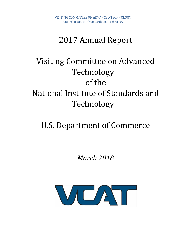# 2017 Annual Report

# Visiting Committee on Advanced Technology of the National Institute of Standards and Technology

# U.S. Department of Commerce

*March 2018*

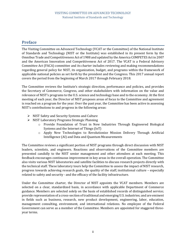# <span id="page-1-0"></span>**Preface**

The Visiting Committee on Advanced Technology (VCAT or the Committee) of the National Institute of Standards and Technology (NIST or the Institute) was established in its present form by the Omnibus Trade and Competitiveness Act of 1988 and updated by the America COMPETES Actin 2007 and the American Innovation and Competitiveness Act of 2017. The VCAT is a Federal Advisory Committee Act (FACA) committee and its charter includes reviewing and making recommendations regarding general policy for NIST, its organization, budget, and programs within the framework of applicable national policies as set forth by the president and the Congress. This 2017 annual report covers the period from the beginning of March 2017 through February 2018.

The Committee reviews the Institute's strategic direction, performance and policies, and provides the Secretary of Commerce, Congress, and other stakeholders with information on the value and relevance of NIST's programs to the U.S. science and technology base and to the economy. At the first meeting of each year, the Director of NIST proposes areas of focus to the Committee and agreement is reached on a program for the year. Over the past year, the Committee has been active in assessing NIST's contributions to and progress in the following areas:

- ➢ NIST Safety and Security Systems and Culture
- ➢ NIST Laboratory Programs Strategic Planning
	- o Provide Foundation of Trust in New Industries Through Engineered Biological Systems and the Internet of Things (IoT)
	- o Apply New Technologies to Revolutionize Mission Delivery Through Artificial Intelligence (AI) and Data and Quantum Measurements

The Committee reviews a significant portion of NIST programs through direct discussion with NIST leaders, scientists, and engineers. Reactions and observations of the Committee members are presented candidly to the NIST senior management and other attendees at each meeting. This feedback encourages continuous improvement in key areas in the overall operation. The Committee also visits various NIST laboratories and satellite facilities to discuss research projects directly with the technical staff. These laboratory tours help the Committee to assess the impact of NIST research, progress towards achieving research goals, the quality of the staff, institutional culture – especially related to safety and security - and the efficacy of the facility infrastructure.

Under the Committee charter, the Director of NIST appoints the VCAT members. Members are selected on a clear, standardized basis, in accordance with applicable Department of Commerce guidance. Members are selected solely on the basis of established records of distinguished service; provide representation of a cross-section of traditional and emerging U.S. industries; and are eminent in fields such as business, research, new product development, engineering, labor, education, management consulting, environment, and international relations. No employee of the Federal Government can serve as a member of the Committee. Members are appointed for staggered threeyear terms.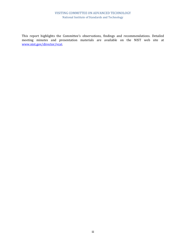#### VISITING COMMITTEE ON ADVANCED TECHNOLOGY National Institute of Standards and Technology

This report highlights the Committee's observations, findings and recommendations. Detailed meeting minutes and presentation materials are available on the NIST web site at [www.nist.gov/director/vcat.](http://www.nist.gov/director/vcat)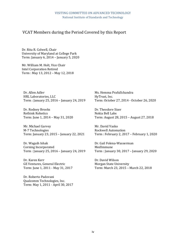## VCAT Members during the Period Covered by this Report

Dr. Rita R. Colwell, Chair University of Maryland at College Park Term: January 6, 2014 – January 5, 2020

Mr. William M. Holt, Vice Chair Intel Corporation Retired Term : May 13, 2012 – May 12, 2018

Dr. Allen Adler HRL Laboratories, LLC Term : January 25, 2016 – January 24, 2019

Dr. Rodney Brooks Rethink Robotics Term: June 1, 2014 – May 31, 2020

Mr. Michael Garvey M-7 Technologies Term: January 23, 2015 – January 22, 2021

Dr. Waguih Ishak Corning Incorporated Term : January 25, 2016 – January 24, 2019

Dr. Karen Kerr GE Ventures, General Electric Term: June 1, 2011 - May 31, 2017

Dr. Roberto Padovani Qualcomm Technologies, Inc. Term: May 1, 2011 - April 30, 2017 Ms. Hemma Prafullchandra HyTrust, Inc. Term: October 27, 2014 - October 26, 2020

Dr. Theodore Sizer Nokia Bell Labs Term: August 28, 2015 – August 27, 2018

Mr. David Vasko Rockwell Automation Term : February 2, 2017 – February 1, 2020

Dr. Gail Folena-Wasserman MedImmune Term : January 30, 2017 – January 29, 2020

Dr. David Wilson Morgan State University Term: March 23, 2015 – March 22, 2018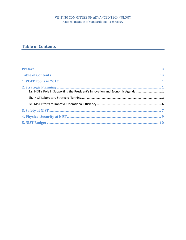#### VISITING COMMITTEE ON ADVANCED TECHNOLOGY National Institute of Standards and Technology

# <span id="page-4-0"></span>**Table of Contents**

| 2a. NIST's Role in Supporting the President's Innovation and Economic Agenda  1 |
|---------------------------------------------------------------------------------|
|                                                                                 |
|                                                                                 |
|                                                                                 |
|                                                                                 |
|                                                                                 |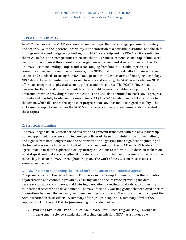### <span id="page-5-0"></span>**1. VCAT Focus in 2017**

In 2017, the work of the VCAT was centered on two major themes, strategic planning, and safety and security. With the inherent uncertainty in the transition to a new administration, and the shift in programmatic and budgetary priorities, both NIST leadership and the VCAT felt it essential for the VCAT to focus on strategic issues to ensure that NIST's measurement science capabilities were best positioned to meet the current and emerging measurement and standards needs of the U.S. The VCAT examined multiple topics and issues ranging from how NIST could improve its communications and stakeholder awareness, how NIST could optimize its efforts in measurement science and standards to strengthen U.S. Trade priorities, and which areas of emerging technology NIST should focus its limited resources on. In safety and security, the VCAT was briefed on NIST efforts to strengthen its physical security policies and procedures. The VCAT believes that it is essential for the security improvements to strike a right balance of enabling an open working environment while providing robust protection. The VCAT also continued to track NIST's progress in safety and was fully briefed on the Americium-241 (Am-241) incident and NIST's response to that event, which illustrates the significant progress that NIST has made in regard to safety. This 2017 Annual report summarizes the VCAT's work, observations, and recommendations related to these topics.

#### <span id="page-5-1"></span>**2. Strategic Planning**

The VCAT began its 2017 work period at a time of significant transition, with the new leadership not yet appointed, the science and technology policies of the new administration not yet defined, and signals from both Congress and the Administration suggesting that a significant tightening of the budget was on the horizon. In light of this environment both the VCAT and NIST leadership agreed that an in-depth exploration of key strategic questions to inform NIST's decision makers on what steps it could take to strengthen its strategic position and inform programmatic decisions was to be a key focus of the VCAT throughout the year. The work of the VCAT on these issues is summarized below.

#### <span id="page-5-2"></span>**2a. NIST's Role in Supporting the President's Innovation and Economic Agenda**

The primary focus of the Department of Commerce in the Trump Administration is the promotion of job creation and economic growth by ensuring fair and secure trade, providing the data necessary to support commerce, and fostering innovation by setting standards and conducting foundational research and development. The VCAT formed 3 working groups that explored a series of questions between the February and June meetings to ensure NIST was positioned to support the Administration in these efforts. A summary of the groups' scope and a summary of what they reported back to the VCAT at the June meeting is provided below:

• **Working Group on Trade –** *(Allen Adler (lead), Dave Vasko, Waguih Ishak)* Through its measurement science, standards, and technology mission, NIST has a unique role in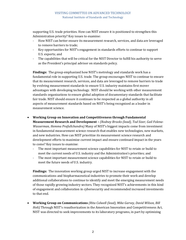supporting U.S. trade priorities. How can NIST ensure it is positioned to strengthen this Administration priority? Key issues to examine:

- How NIST can better ensure its measurement research, services, and data are leveraged to remove barriers to trade;
- Key opportunities for NIST's engagement in standards efforts to continue to support U.S. exports; and
- The capabilities that will be critical for the NIST Director to fulfill his authority to serve as the President's principal advisor on standards policy.

**Findings:** The group emphasized how NIST's metrology and standards work has a fundamental role in supporting U.S. trade. The group encourages NIST to continue to ensure that its measurement research, services, and data are leveraged to remove barriers to trade by evolving measurement standards to ensure U.S. industry maintains first mover advantages with developing technology. NIST should be working with other measurement standards organizations to ensure global adoption of documentary standards that facilitate fair trade. NIST should ensure it continues to be respected as a global authority in all aspects of measurement standards based on NIST's being recognized as a leader in measurement science.

#### • **Working Group on Innovation and Competitiveness through Fundamental**

**Measurement Research and Development –** *(Rodney Brooks (lead), Tod Sizer, Gail Folena-Wasserman, Hemma Prafullchandra)* Many of NIST's biggest impacts come from investment in fundamental measurement science research that enables new technologies, new markets, and new industries. How can NIST prioritize its measurement science research and development efforts to maximize current impact and ensure continued impact in the years to come? Key issues to examine:

- The most important measurement science capabilities for NIST to retain or build to meet the current needs of U.S. industry and the Administration's priorities; and
- The most important measurement science capabilities for NIST to retain or build to meet the future needs of U.S. industry.

**Findings:** The innovation working group urged NIST to increase engagement with the communications and biopharmaceutical industries to promote their work and develop additional collaborations to continue to identify and meet the emerging measurement needs of those rapidly growing industry sectors. They recognized NIST's achievements in this kind of engagement and collaboration in cybersecurity and recommended increased investments to that end.

• **Working Group on Communications** *(Rita Colwell (lead), Mike Garvey, David Wilson, Bill Holt)* Through NIST's reauthorization in the American Innovation and Competitiveness Act, NIST was directed to seek improvements to its laboratory programs, in part by optimizing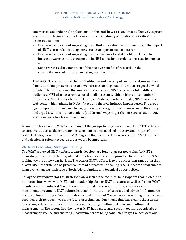commercial and industrial applications. To this end, how can NIST more effectively capture and describe the importance of its mission to U.S. industry and national priorities? Key issues to examine:

- Evaluating current and suggesting new efforts to evaluate and communicate the impact of NIST's research, including news stories and performance metrics;
- Evaluating current and suggesting new mechanisms for stakeholder outreach to increase awareness and engagement in NIST's mission in order to increase its impact; and
- Support NIST's documentation of the positive benefits of research on the competitiveness of industry, including manufacturing.

**Findings:** The group found that NIST utilizes a wide variety of communications media – from traditional press releases and web articles, to blog posts and videos to get the word out about NIST. By having this multifaceted approach, NIST can reach a lot of different audiences. NIST also has a robust social media presence, with an impressive number of followers on Twitter, Facebook, LinkedIn, YouTube, and others. Finally, NIST has custom web content highlighting its Nobel Prizes and the new Industry Impact series. The group agreed upon the importance to engagement and recognition of telling a compelling story, and urged NIST to continue to identify additional ways to get the message of NIST's R&D and its impacts to a broader audience.

A common thread of the VCAT's discussion of the groups findings was the need for NIST to be able to effectively address the emerging measurement science needs of industry, and in light of the restricted budget environment the VCAT agreed that continued discussions of NIST's identification and selection of priority research areas would be important.

#### <span id="page-7-0"></span>**2b. NIST Laboratory Strategic Planning**

The VCAT reviewed NIST's efforts towards developing a long-range strategic plan for NIST's laboratory programs with the goal to identify high-level research priorities to best position NIST looking towards a 10-year horizon. The goal of NIST's efforts is to produce a long-range plan that allows NIST leadership to be proactive instead of reactive in shaping NIST's research environment in an ever-changing landscape of both federal funding and technical opportunities.

To lay the groundwork for the strategic plan, a scan of the technical landscape was completed, and numerous interviews with NIST senior leadership, former NIST directors, as well as former VCAT members were conducted. The interviews explored major opportunities, risks, areas for investment/divestment, NIST culture, leadership, indicators of success, and advice for Commerce Secretary Ross. During a 2-day workshop held at the end of May, a five-person thought leader panel provided their perspectives on the future of technology. One theme that was clear is that science increasingly depends on systems thinking and learning, multimodal data, and multimodal measurements. The second key theme was NIST has a place and a part in teaching people about measurement science and ensuring measurements are being conducted to get the best data out.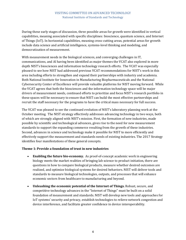During these early stages of discussion, three possible areas for growth were identified in vertical capabilities, meaning associated with specific disciplines: bioscience, quantum science, and Internet of Things (IoT). In horizontal capabilities, meaning cross-cutting areas, potential areas for growth include data science and artificial intelligence, systems-level thinking and modeling, and democratization of measurement.

With measurement needs in the biological sciences, and converging challenges in IT, communications, and AI having been identified as major themes the VCAT also explored in more depth NIST's biosciences and information technology research efforts. The VCAT was especially pleased to see how NIST had addressed previous VCAT recommendations for NIST's work in this area including efforts to strengthen and expand their partnerships with industry and academia. Both National Institute for Innovation in Manufacturing Biopharmaceuticals and the National Cybersecurity Center of Excellence will provide valuable platforms for NIST moving forward. While the VCAT agrees that both the biosciences and the information technology space will be major drivers of measurement needs, continued efforts to prioritize and focus NIST's research portfolio in these spaces will be necessary to ensure that NIST can build the most effective partnerships and recruit the staff necessary for the programs to have the critical mass necessary for full success.

The VCAT was pleased to see the continued evolution of NIST's laboratory planning work at the October meeting. The NIST strategy effectively addresses advancing technology in two ways, both of which are strongly aligned with NIST's mission. First, the formation of new industries, made possible by scientific and technological advances, gives rise to the need for new measurement standards to support the expanding commerce resulting from the growth of these industries. Second, advances in science and technology make it possible for NIST to more efficiently and effectively support the measurement and standards needs of existing industries. The 2017 Strategy identifies four manifestations of these general concepts.

#### **Theme 1: Provide a foundation of trust in new industries**

- **Enabling the future bio-economy.** As proof-of-concept academic work in engineering biology meets the market realities of bringing lab science to product initiation, there are questions in how to compare biological products, measure whether desired outcomes are realized, and optimize biological systems for desired behaviors. NIST will deliver tools and standards to measure biological technologies, outputs, and processes that will enhance economic sectors from healthcare to manufacturing and beyond.
- **Unleashing the economic potential of the Internet of Things.** Robust, secure, and competitive technology advances in the "Internet of Things" must be built on a solid foundation of measurement and standards. NIST will develop new tools and approaches for IoT systems' security and privacy, establish technologies to relieve network congestion and device interference, and facilitate greater confidence in device interoperability.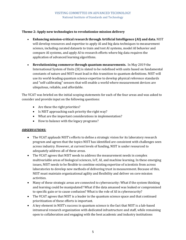#### **Theme 2: Apply new technologies to revolutionize mission delivery**

- **Enhancing mission-critical research through Artificial Intelligence (AI) and data.** NIST will develop resources and expertise to apply AI and big data techniques to measurement science, including curated datasets to train and test AI systems, model AI behavior and compare AI systems, and apply AI to research efforts where big data requires the application of advanced learning algorithms.
- **Revolutionizing commerce through quantum measurements.** In May 2019 the International System of Units (SI) is slated to be redefined with units based on fundamental constants of nature and NIST must lead in this transition to quantum definitions. NIST will use its world-leading quantum science expertise to develop physical reference standards and "self-calibrating" sensors that will enable a world where measurement devices are ubiquitous, reliable, and affordable.

The VCAT was briefed on the initial scoping statements for each of the four areas and was asked to consider and provide input on the following questions:

- Are these the right priorities?
- Is NIST approaching each priority the right way?
- What are the important considerations in implementation?
- How to balance with the legacy programs?

#### *OBSERVATIONS:*

- The VCAT applauds NIST's efforts to define a strategic vision for its laboratory research program and agrees that the topics NIST has identified are consistent with challenges seen across industry. However, at current levels of funding, NIST is under resourced to adequately address all of these areas.
- The VCAT agrees that NIST needs to address the measurement needs in complex multivariable areas of biological sciences, IoT, AI, and machine learning. In these emerging issues, NIST needs to be flexible to combine existing expertise of scientists from across laboratories to develop new methods of delivering trust in measurement. Because of this, NIST must maintain organizational agility and flexibility and deliver on core mission activities.
- Many of these strategic areas are connected to cybersecurity: What if the system thinking and learning could be manipulated? What if the data amassed was leaked or compromised to specific gain or to cause confusion? What is the role of AI in cybersecurity?
- The VCAT agrees that NIST is a leader in the quantum science space and that continued prioritization of these efforts is important.
- A key element in NIST's success in quantum science is the fact that NIST is a lab-based intramural research organization with dedicated infrastructure and staff, while remaining open to collaboration and engaging with the best academic and industry institutions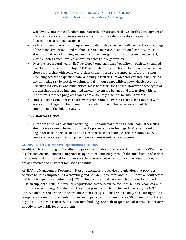worldwide. NIST robust fundamental research infrastructure allows for the development of deep technical expertise in key areas while remaining a discipline-based organization focused on measurement science.

- As NIST moves forward with implementing its strategic vision it will need to take advantage of the management tools and methods it has to increase its operation flexibility. One is startup and directed funding and another is cross-organizational program management, which enables bench-level collaboration across the organization.
- Over the last several years, NIST developed organizational flexibility through its expanded use of grant-based partnerships. NIST has created three Centers of Excellence which allows close partnership with some world-class capabilities in areas important for its mission, providing access to expertise, data, and unique facilities not on hand; expand in new fields and minimize risk by not developing formal in-house capabilities; allow visible focus on priority NIST efforts; and build critical mass necessary for impact. However, these types of partnerships must be implemented carefully to ensure balance and integration with its intramural research programs, which are absolutely essential for NIST's success.
- NIST's longer-term joint institutes with universities allow NIST scientists to interact with academic colleagues to build long-term capabilities in technical areas without the constraints of the federal system.

#### *RECOMMENDATIONS:*

• In the area of AI and Machine Learning, NIST should not aim at a Moon Shot. Rather, NIST should take reasonable steps to show the power of the technology. NIST should seek to engender trust in the use of AI, to ensure that these technologies are free from bias. A couple of success stories can pave the way to more and more engagements.

#### <span id="page-10-0"></span>**2c. NIST Efforts to Improve Operational Efficiency**

In addition to examining NIST's efforts to prioritize its laboratory research priorities the VCAT was also briefed on NIST efforts to improve its operational efficiency through the introduction of service management platforms and tools to ensure that the services which support the research program are as effective and customer focused as possible.

At NIST the Management Resources (MR) directorate is the service organization that provides services to both campuses, in Gaithersburg and Boulder. It contains about 1,100 staff or contractors and has a budget of approximately \$175 million on an annual basis, which provides for essential mission support functions in finance, acquisitions, safety, security, facilities, human resources, and information technology. MR also has offices that provide for civil rights and diversity, the NIST library function, and a state of the art fabrication facility. MR ensures on a daily basis the lights and computers are on, procurements happen, and it provides infrastructure for 30 billion transactions a day on NIST internet time services. It ensures buildings are built to specs and also provides services directly to the public for encasements.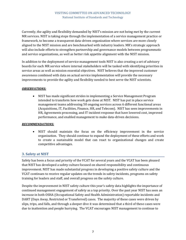Currently, the agility and flexibility demanded by NIST's mission are not being met by the current MR services. NIST is taking steps through the implementation of a service management practice or framework, to become a transparent data-driven organization where services are more closely aligned to the NIST mission and are benchmarked with industry leaders. MR's strategic approach will also include efforts to strengthen partnership and governance models between programmatic and service organizations, as well as better risk appetite alignment with the NIST mission.

In addition to the deployment of service management tools NIST is also creating a set of advisory boards for each MR service where internal stakeholders will be tasked with identifying priorities in service areas as well as mission essential objectives. NIST believes that the improved customer awareness combined with data on actual service implementation will provide the necessary improvements to provide the agility and flexibility needed to best serve the NIST scientists.

#### *OBSERVATIONS:*

• NIST has made significant strides in implementing a Service Management Program intended to transform how work gets done at NIST. NIST has put in place service management teams addressing 50 ongoing services across 6 different functional areas (Acquisitions, IT, Facilities, Finance, HR, and Telecom). NIST has seen improvements in HR, Agreements processing, and IT incident response that have lowered cost, improved performance, and enabled management to make data-driven decisions.

#### *RECOMMENDATIONS:*

• NIST should maintain the focus on the efficiency improvement in the service organization. They should continue to expand the deployment of these efforts and work to create a sustainable model that can react to organizational changes and create competitive advantages.

#### <span id="page-11-0"></span>**3. Safety at NIST**

Safety has been a focus and priority of the VCAT for several years and the VCAT has been pleased that NIST has developed a safety culture focused on shared responsibility and continuous improvement. NIST has made substantial progress in developing a positive safety culture and the VCAT continues to receive regular updates on the trends in safety incidents, programs on safety training for leaders and staff, and overall progress on the safety culture.

Despite the improvement in NIST safety culture this year's safety data highlights the importance of continued management engagement of safety as a top priority. Over the past year NIST has seen an increase in both OSHA (Occupational Safety and Health Administration) reportable incidents and DART (Days Away, Restricted or Transferred) cases. The majority of these cases were driven by slips, trips, and falls, and through a deeper dive it was determined that a third of these cases were due to inattention and people hurrying. The VCAT encourages NIST management to continue to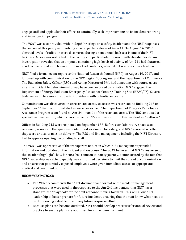engage staff and applauds their efforts to continually seek improvements to its incident reporting and investigation program.

The VCAT was also provided with in-depth briefings on a safety incident and the NIST responses that occurred this past year involving an unexpected release of Am-241. On August 16, 2017, elevated levels of radiation were discovered during a semiannual leak test in one of the NIST facilities. Access was restricted to the facility and particularly the room with elevated levels. An investigation revealed that an ampoule containing high-levels of activity of Am-241 had shattered inside a plastic vial, which was stored in a lead container, which itself was stored in a lead cave.

NIST filed a formal event report to the National Research Council (NRC) on August 19, 2017, and followed up with communication to the NRC Region 1, Congress, and the Department of Commerce. The Radiation Safety Officer (RSO) and Acting Director of PML had a meeting with source users after the incident to determine who may have been exposed to radiation. NIST engaged the Department of Energy Radiation Emergency Assistance Center / Training Site (REAC/TS). Several tests were run to assess the dose to individuals with potential exposure.

Contamination was discovered in unrestricted areas, so access was restricted to Building 245 on September 11th and additional studies were performed. The Department of Energy's Radiological Assistance Program team found no Am-241 outside of the restricted areas. The NRC conducted a special team inspection, which characterized NIST's response effort to this incident as "textbook."

Offices in Building 245 were reopened on September 18th. Before each laboratory space was reopened, sources in the space were identified, evaluated for safety, and NIST assessed whether they were critical to mission delivery. The RSO and line management, including the NIST Director, had to approve opening the building to staff.

The VCAT was appreciative of the transparent nature in which NIST management provided information and updates on the incident and response. The VCAT believes that NIST's response to this incident highlight's how far NIST has come on its safety journey, demonstrated by the fact that NIST leadership was able to quickly make informed decisions to limit the spread of contamination and ensure that potentially exposed employees were given immediate access to appropriate medical and treatment options.

#### *RECOMMENDATIONS:*

- The VCAT recommends that NIST document and formalize the incident management processes that were used in the response to the Am-241 incident, so that NIST has a standardized "playbook" for incident response moving forward. This will allow NIST leadership to better prepare for future incidents, ensuring that the staff know what needs to be done saving valuable time in any future response effort.
- Because plans can become outdated, NIST should develop processes for annual review and practice to ensure plans are optimized for current environment.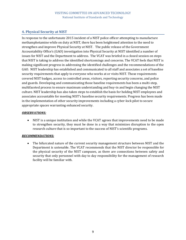### <span id="page-13-0"></span>**4. Physical Security at NIST**

In response to the unfortunate 2015 incident of a NIST police officer attempting to manufacture methamphetamine while on duty at NIST, there has been heightened attention to the need to strengthen and improve Physical Security at NIST. The public release of the Government Accountability Office's (GAO) investigation into Physical Security at NIST identified a number of issues for NIST and the Department to address. The VCAT was briefed in a closed session on steps that NIST is taking to address the identified shortcomings and concerns. The VCAT feels that NIST is making significant progress in addressing the identified challenges and the recommendations of the GAO. NIST leadership has established and communicated to all staff and associates a set of baseline security requirements that apply to everyone who works at or visits NIST. Those requirements covered NIST badges, access to controlled areas, visitors, reporting security concerns, and police and guards. Developing and communicating those baseline requirements has been a multi-step, multifaceted process to ensure maximum understanding and buy-in and begin changing the NIST culture. NIST leadership has also taken steps to establish the basis for holding NIST employees and associates accountable for meeting NIST's baseline security requirements. Progress has been made in the implementation of other security improvements including a cyber-lock pilot to secure appropriate spaces warranting enhanced security.

#### *OBSERVATIONS:*

• NIST is a unique institution and while the VCAT agrees that improvements need to be made to strengthen security, they must be done in a way that minimizes disruption to the open research culture that is so important to the success of NIST's scientific programs.

#### *RECOMMENDATIONS:*

• The bifurcated nature of the current security management structure between NIST and the Department is untenable. The VCAT recommends that the NIST director be responsible for the physical security of the NIST campuses, as there are connections between safety and security that only personnel with day to day responsibility for the management of research facility will be familiar with.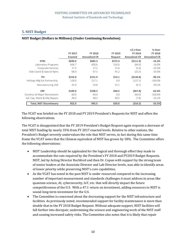### <span id="page-14-0"></span>**5. NIST Budget**

#### **NIST Budget (Dollars in Millions) (Under Continuing Resolution)**

| <b>STRS</b>                      | FY 2017<br><b>Enacted</b><br>\$690.0 | <b>FY 2018</b><br><b>Annualized CR</b><br>\$685.3 | <b>FY 2019</b><br>Request<br>\$573.4 | $+$ /(-) Over<br><b>FY 2018</b><br><b>Annualized CR</b><br>(5111.9) | % Over                                             |                     |       |       |       |        |          |
|----------------------------------|--------------------------------------|---------------------------------------------------|--------------------------------------|---------------------------------------------------------------------|----------------------------------------------------|---------------------|-------|-------|-------|--------|----------|
|                                  |                                      |                                                   |                                      |                                                                     | <b>FY 2018</b><br><b>Annualized CR</b><br>$-16.3%$ |                     |       |       |       |        |          |
|                                  |                                      |                                                   |                                      |                                                                     |                                                    | Laboratory Programs | 604.7 | 600.6 | 516.6 | (84.0) | $-14.0%$ |
|                                  |                                      |                                                   |                                      |                                                                     |                                                    | Corporate Services  | 17.3  | 17.2  | 11.6  | (5.6)  | $-32.6%$ |
| Stds Coord & Special Pgms        | 68.0                                 | 67.5                                              | 45.2                                 | (22.3)                                                              | $-33.0%$                                           |                     |       |       |       |        |          |
| <b>ITS</b>                       | \$153.0                              | \$151.9                                           | \$15.1                               | (5136.8)                                                            | $-90.1%$                                           |                     |       |       |       |        |          |
| Hollings Mfg Ext Partnership     | 128.0                                | 127.1                                             | 0.0                                  | (127.1)                                                             | $-100.0\%$                                         |                     |       |       |       |        |          |
| Manufacturing USA                | 25.0                                 | 24.8                                              | 15.1                                 | (9.7)                                                               | $-39.1%$                                           |                     |       |       |       |        |          |
| <b>CRF</b>                       | \$109.0                              | \$108.3                                           | \$40.5                               | (567.8)                                                             | $-62.6%$                                           |                     |       |       |       |        |          |
| Construc & Major Renovations     | 60.0                                 | 60.0                                              | 0.0                                  | (60.0)                                                              | $-100.0\%$                                         |                     |       |       |       |        |          |
| Saf, Cap, Maint & Maj Repairs    | 49.0                                 | 48.3                                              | 40.5                                 | (7.8)                                                               | $-16.1%$                                           |                     |       |       |       |        |          |
| <b>Total, NIST Discretionary</b> | 952.0                                | 945.5                                             | 629.0                                | (316.5)                                                             | $-33.5%$                                           |                     |       |       |       |        |          |
|                                  |                                      |                                                   |                                      |                                                                     |                                                    |                     |       |       |       |        |          |

The VCAT was briefed on the FY 2018 and FY 2019 President's Requests for NIST and offers the following observations.

The VCAT is disappointed that the FY 2019 President's Budget Request again requests a decrease of total NIST funding by nearly 33% from FY 2017 enacted levels. Relative to other nations, the President's Budget severely undervalues the role that NIST serves, in fact during this same time frame the VCAT notes that the Chinese equivalent of NIST has grown by 18%. The Committee offers the following observations:

- NIST Leadership should be applauded for the logical and thorough effort they made to accommodate the cuts required by the President's FY 2018 and FY2019 Budget Requests. NIST, led by Acting Director Rochford and then Dr. Copan with support by the strong team of senior leaders at the Associate Director and Lab Director levels, was able to identify areas of lower priority while preserving NIST's core capabilities.
- As the VCAT has noted in the past NIST is under resourced compared to the increasing number of important measurement and standards challenges it must address in areas like quantum science, AI, cybersecurity, IoT, etc. that will directly impact the future competitiveness of the U.S. With a 47:1 return on investment, adding resources to NIST is sound long-term investment for the U.S.
- The Committee is concerned about the decreasing support for the NIST infrastructure and facilities. As previously noted, recommended support for facility maintenance is more than double that in the FY 2018 Budget Request. Without adequate support, NIST facilities will fall further into disrepair, undermining the science and engineering work of the NIST staff and causing increased safety risks. The Committee also notes that it is likely that repair